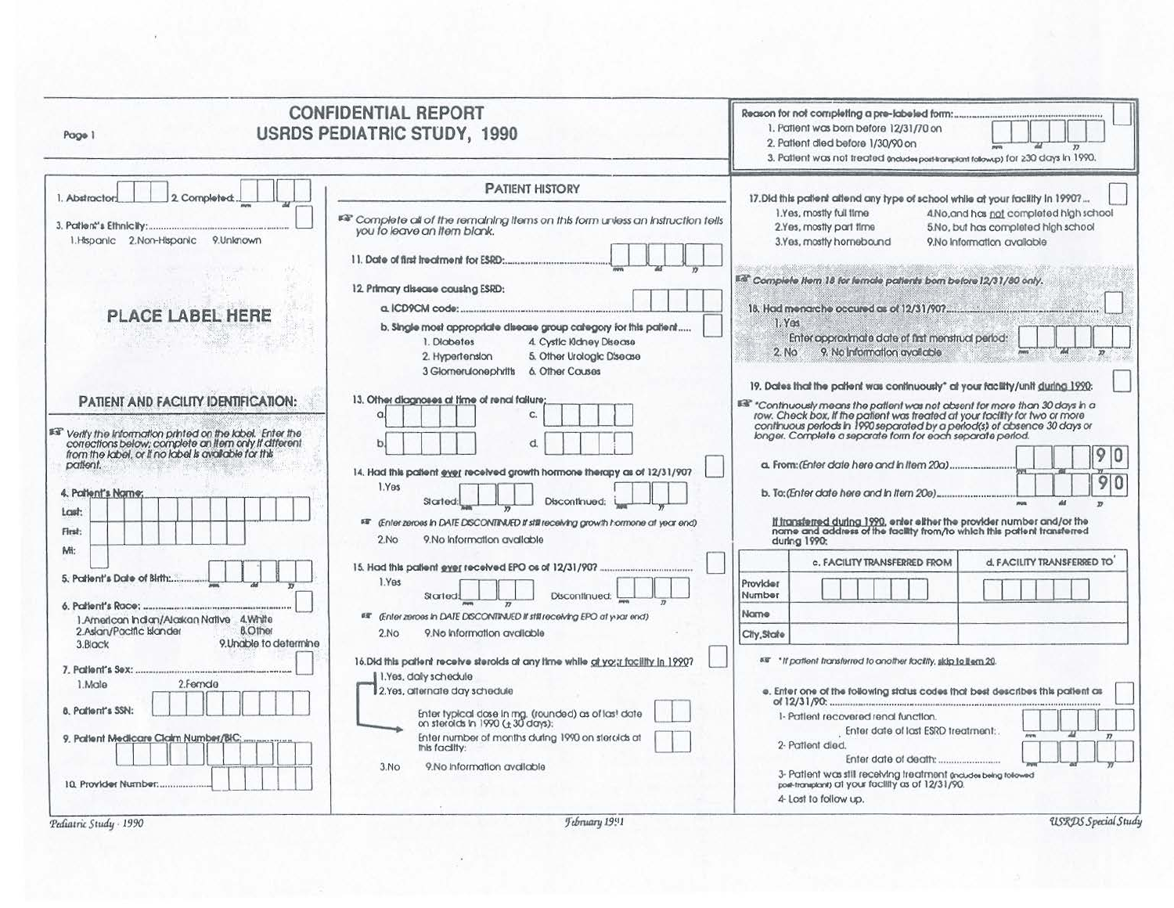| Page 1                                                                                                                                                                                                                                                                                                                                                                                                                                                                                        | <b>CONFIDENTIAL REPORT</b><br><b>USRDS PEDIATRIC STUDY, 1990</b>                                                                                                                                                                                                                                                                                                                                                                                                                                                                                                                                                                                                                                                                                                                                                                                                             | Reason for not completing a pre-labeled form:<br>1. Patient was born before 12/31/70 on<br>2. Patient died before 1/30/90 on<br>3. Patient was not treated encludes port-transform tolowup) for 230 days in 1990.                                                                                                                                                                                                                                                                                                                                                                                                                                                                                                                                                                                                                                                                                                                                                                                                                                                                                     |
|-----------------------------------------------------------------------------------------------------------------------------------------------------------------------------------------------------------------------------------------------------------------------------------------------------------------------------------------------------------------------------------------------------------------------------------------------------------------------------------------------|------------------------------------------------------------------------------------------------------------------------------------------------------------------------------------------------------------------------------------------------------------------------------------------------------------------------------------------------------------------------------------------------------------------------------------------------------------------------------------------------------------------------------------------------------------------------------------------------------------------------------------------------------------------------------------------------------------------------------------------------------------------------------------------------------------------------------------------------------------------------------|-------------------------------------------------------------------------------------------------------------------------------------------------------------------------------------------------------------------------------------------------------------------------------------------------------------------------------------------------------------------------------------------------------------------------------------------------------------------------------------------------------------------------------------------------------------------------------------------------------------------------------------------------------------------------------------------------------------------------------------------------------------------------------------------------------------------------------------------------------------------------------------------------------------------------------------------------------------------------------------------------------------------------------------------------------------------------------------------------------|
| 2. Completed:<br>1. Abstractor:<br>1. Hispanic 2. Non-Hispanic 9. Unknown<br><b>PLACE LABEL HERE</b><br>PATIENT AND FACILITY IDENTIFICATION:<br>Fifthe information printed on the label. Enter the corrections below; complete an item anly if different<br>from the label, or if no label is available for this<br>patient.<br>4. Patient's Name:<br>Last:<br>First:<br>Mi:<br>5. Parient's Date of Birth<br>1.American Indian/Alaskan Native 4.White<br>2.Aslan/Pacific Islander<br>8.Other | <b>PATIENT HISTORY</b><br>FF Complete all of the remaining items on this form unless an instruction tells<br>you to leave an item blank.<br>12. Primary disease causing ESRD:<br>b. Single most appropriate disease group category for this patient<br>1. Diobetes<br>4. Cystic Kidney Disease<br>5. Other Urologic Disease<br>2. Hypertension<br>3 Glornerulonephritis<br>6. Other Couses<br>13. Other diagnoses at time of renal failure;<br>c.<br>d.<br>14. Had this patient ever received growth hormone therapy as of 12/31/907<br>1.Yes<br>Discontinued:<br>Started:<br>68 (Enter zeroes in DATE DISCONTINUED if still receiving growth hormone at year end)<br>9. No Information available<br>2.No<br>1.Yes<br>Discontinued:<br>Started<br>EE (Enter zeroes in DATE DISCONTINUED if still receiving EPO at your end)<br>9.No Information available<br>2N <sub>O</sub> | 17. Dld this patient altend any type of school while at your facility in 1990?<br>1.Yes, mostly full fime<br>4. No, and has not completed high school<br>2.Yes, mostly part fime<br>5.No, but has completed high school<br>3.Yes, mostly homebound<br>9.No Information available<br>Edi* Complete Item 18 for female pattents bom before 12/31/80 only.<br>1. Y <sub>05</sub><br>Enter approximate date of first menstrual period:<br>9. No information available<br>2. No<br>19. Dates that the patient was continuously" at your facility/unit during 1990.<br>ISB" "Continuously means the patient was not absent for more than 30 days in a<br>row. Check box, if the patient was treated at your facility for two or more<br>continuous periods in 1990 separated by a period(s) of absence 30 d<br>90<br>$\mathbf{r}$<br><u>If transferred during 1990</u> , enter either the provider number and/or the<br>name and address of the facility from/to which this patient transferred<br>during 1990:<br>d. FACILITY TRANSFERRED TO<br>c. FACILITY TRANSFERRED FROM<br>Provider<br>Number<br>Name |
| 9. Unable to determine<br>3.Block<br>2.Female<br>1.Male<br>8. Patient's SSN:<br>9. Patient Medicare Claim Number/BIC:<br>10. Provider Number                                                                                                                                                                                                                                                                                                                                                  | 16. Did this patient receive steroids at any time while at your facility in 1990?<br>1.Yes, daly schedule<br>2.Yes, alternate day schedule<br>Enter typical dose in mg. (rounded) as of las! date<br>on steroids in 1990 (± 30 days):<br>Enter number of months during 1990 on steroids at<br>this facility:<br>9.No information available<br>3.00                                                                                                                                                                                                                                                                                                                                                                                                                                                                                                                           | 58" "If patient transferred to another facility, skip to item 20.<br>e. Enter one of the following status codes that best describes this patient as<br>1- Patlent recovered renal function.<br>Enter date of last ESRD treatment:<br>2- Patient died.<br>Enter date of death:<br>3- Patient was still receiving treatment pictuous being tolowed<br>port-transplant) at your facility as of 12/31/90.<br>4- Lost to follow up.                                                                                                                                                                                                                                                                                                                                                                                                                                                                                                                                                                                                                                                                        |

Pediatric Study - 1990

 $\mathbf{y}_i$ 

 $\mathcal{L}_{\mathcal{L}}$ 

USRDS Special Study